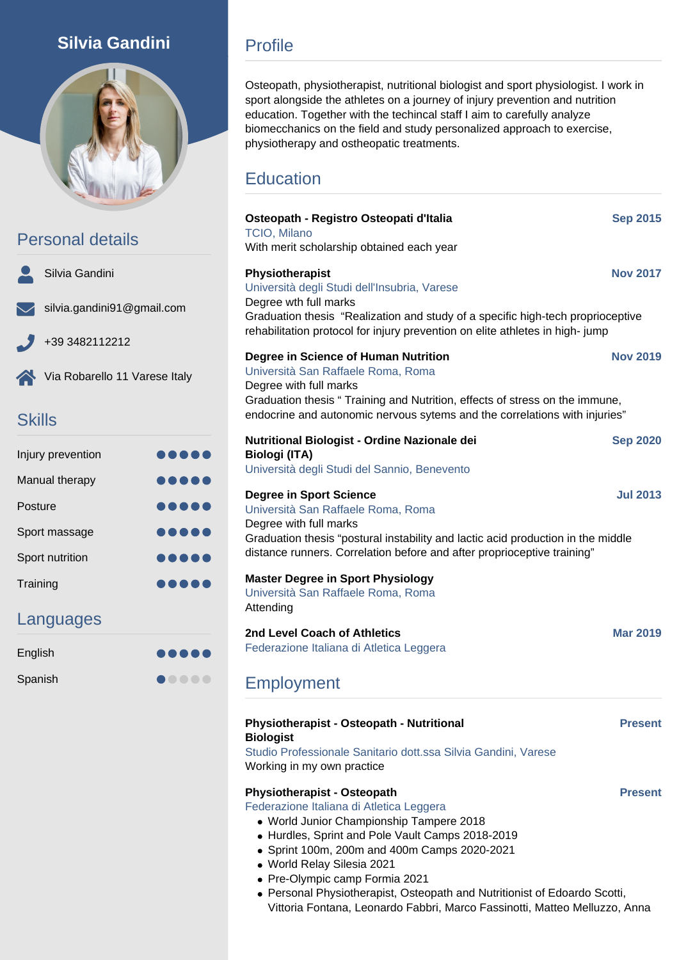## Silvia Gandini



Personal details

|                         | Silvia Gandini                    |
|-------------------------|-----------------------------------|
|                         | $\vee$ silvia.gandini91@gmail.com |
| $\overline{\mathbf{z}}$ | +39 3482112212                    |
|                         | Via Robarello 11 Varese Italy     |

## **Skills**

| Injury prevention |   |
|-------------------|---|
| Manual therapy    |   |
| Posture           |   |
| Sport massage     |   |
| Sport nutrition   |   |
| Training          | . |

### Languages

| English | $\begin{array}{cccccccccccccc} \bullet & \bullet & \bullet & \bullet & \bullet & \bullet & \bullet \end{array}$ |
|---------|-----------------------------------------------------------------------------------------------------------------|
| Spanish | $\begin{array}{cccccccccccccc} \bullet & \bullet & \bullet & \bullet & \bullet & \bullet & \bullet \end{array}$ |

## Profile

Osteopath, physiotherapist, nutritional biologist and sport physiologist. I work in sport alongside the athletes on a journey of injury prevention and nutrition education. Together with the techincal staff I aim to carefully analyze biomecchanics on the field and study personalized approach to exercise, physiotherapy and ostheopatic treatments.

# **Education**

| Osteopath - Registro Osteopati d'Italia<br><b>TCIO, Milano</b><br>With merit scholarship obtained each year                                                                                                                                                                        | <b>Sep 2015</b> |
|------------------------------------------------------------------------------------------------------------------------------------------------------------------------------------------------------------------------------------------------------------------------------------|-----------------|
| Physiotherapist<br>Università degli Studi dell'Insubria, Varese<br>Degree wth full marks<br>Graduation thesis "Realization and study of a specific high-tech proprioceptive<br>rehabilitation protocol for injury prevention on elite athletes in high-jump                        | <b>Nov 2017</b> |
| Degree in Science of Human Nutrition<br>Università San Raffaele Roma, Roma<br>Degree with full marks<br>Graduation thesis " Training and Nutrition, effects of stress on the immune,<br>endocrine and autonomic nervous sytems and the correlations with injuries"                 | <b>Nov 2019</b> |
| Nutritional Biologist - Ordine Nazionale dei<br><b>Biologi (ITA)</b><br>Università degli Studi del Sannio, Benevento                                                                                                                                                               | <b>Sep 2020</b> |
| <b>Degree in Sport Science</b><br>Università San Raffaele Roma, Roma<br>Degree with full marks<br>Graduation thesis "postural instability and lactic acid production in the middle<br>distance runners. Correlation before and after proprioceptive training"                      | <b>Jul 2013</b> |
| <b>Master Degree in Sport Physiology</b><br>Università San Raffaele Roma, Roma<br>Attending                                                                                                                                                                                        |                 |
| 2nd Level Coach of Athletics<br>Federazione Italiana di Atletica Leggera                                                                                                                                                                                                           | <b>Mar 2019</b> |
| Employment                                                                                                                                                                                                                                                                         |                 |
| Physiotherapist - Osteopath - Nutritional<br><b>Biologist</b><br>Studio Professionale Sanitario dott.ssa Silvia Gandini, Varese<br>Working in my own practice                                                                                                                      | <b>Present</b>  |
| <b>Physiotherapist - Osteopath</b><br>Federazione Italiana di Atletica Leggera<br>• World Junior Championship Tampere 2018<br>• Hurdles, Sprint and Pole Vault Camps 2018-2019<br>• Sprint 100m, 200m and 400m Camps 2020-2021<br>· World Relay Silesia 2021<br>$\sim$ $\sim$ 0001 | <b>Present</b>  |

- Pre-Olympic camp Formia 2021
- Personal Physiotherapist, Osteopath and Nutritionist of Edoardo Scotti, Vittoria Fontana, Leonardo Fabbri, Marco Fassinotti, Matteo Melluzzo, Anna